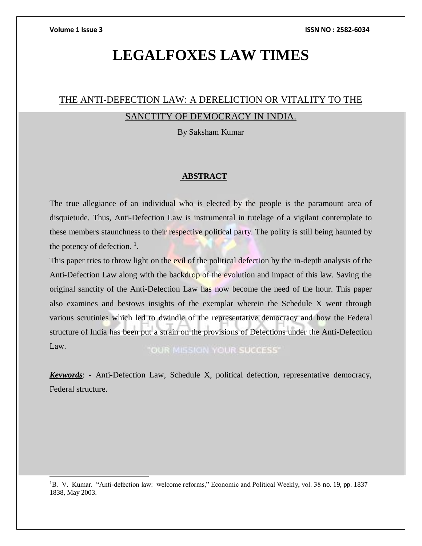l

# **LEGALFOXES LAW TIMES**

# THE ANTI-DEFECTION LAW: A DERELICTION OR VITALITY TO THE SANCTITY OF DEMOCRACY IN INDIA.

By Saksham Kumar

# **ABSTRACT**

The true allegiance of an individual who is elected by the people is the paramount area of disquietude. Thus, Anti-Defection Law is instrumental in tutelage of a vigilant contemplate to these members staunchness to their respective political party. The polity is still being haunted by the potency of defection.  $\frac{1}{1}$ .

This paper tries to throw light on the evil of the political defection by the in-depth analysis of the Anti-Defection Law along with the backdrop of the evolution and impact of this law. Saving the original sanctity of the Anti-Defection Law has now become the need of the hour. This paper also examines and bestows insights of the exemplar wherein the Schedule X went through various scrutinies which led to dwindle of the representative democracy and how the Federal structure of India has been put a strain on the provisions of Defections under the Anti-Defection Law. "OUR MISSION YOUR SUCCESS"

*Keywords*: - Anti-Defection Law, Schedule X, political defection, representative democracy, Federal structure.

<sup>1</sup>B. V. Kumar. "Anti-defection law: welcome reforms," Economic and Political Weekly, vol. 38 no. 19, pp. 1837– 1838, May 2003.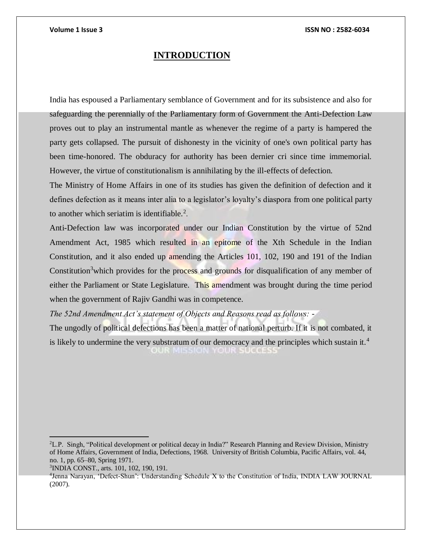# **INTRODUCTION**

India has espoused a Parliamentary semblance of Government and for its subsistence and also for safeguarding the perennially of the Parliamentary form of Government the Anti-Defection Law proves out to play an instrumental mantle as whenever the regime of a party is hampered the party gets collapsed. The pursuit of dishonesty in the vicinity of one's own political party has been time-honored. The obduracy for authority has been dernier cri since time immemorial. However, the virtue of constitutionalism is annihilating by the ill-effects of defection.

The Ministry of Home Affairs in one of its studies has given the definition of defection and it defines defection as it means inter alia to a legislator's loyalty's diaspora from one political party to another which seriatim is identifiable.<sup>2</sup>.

Anti-Defection law was incorporated under our Indian Constitution by the virtue of 52nd Amendment Act, 1985 which resulted in an epitome of the Xth Schedule in the Indian Constitution, and it also ended up amending the Articles 101, 102, 190 and 191 of the Indian Constitution<sup>3</sup> which provides for the process and grounds for disqualification of any member of either the Parliament or State Legislature. This amendment was brought during the time period when the government of Rajiv Gandhi was in competence.

*The 52nd Amendment Act's statement of Objects and Reasons read as follows: -*

The ungodly of political defections has been a matter of national perturb. If it is not combated, it is likely to undermine the very substratum of our democracy and the principles which sustain it.<sup>4</sup> OUR MISSION YOUR SUCCI

 $\overline{a}$ 

<sup>2</sup>L.P. Singh, "Political development or political decay in India?" Research Planning and Review Division, Ministry of Home Affairs, Government of India, Defections, 1968. University of British Columbia, Pacific Affairs, vol. 44, no. 1, pp. 65–80, Spring 1971.

<sup>3</sup> INDIA CONST., arts. 101, 102, 190, 191.

<sup>4</sup> Jenna Narayan, 'Defect-Shun': Understanding Schedule X to the Constitution of India, INDIA LAW JOURNAL (2007).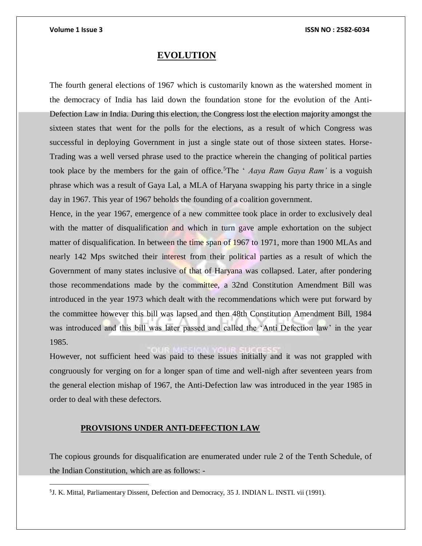$\overline{a}$ 

# **EVOLUTION**

The fourth general elections of 1967 which is customarily known as the watershed moment in the democracy of India has laid down the foundation stone for the evolution of the Anti-Defection Law in India. During this election, the Congress lost the election majority amongst the sixteen states that went for the polls for the elections, as a result of which Congress was successful in deploying Government in just a single state out of those sixteen states. Horse-Trading was a well versed phrase used to the practice wherein the changing of political parties took place by the members for the gain of office.<sup>5</sup>The ' *Aaya Ram Gaya Ram'* is a voguish phrase which was a result of Gaya Lal, a MLA of Haryana swapping his party thrice in a single day in 1967. This year of 1967 beholds the founding of a coalition government.

Hence, in the year 1967, emergence of a new committee took place in order to exclusively deal with the matter of disqualification and which in turn gave ample exhortation on the subject matter of disqualification. In between the time span of 1967 to 1971, more than 1900 MLAs and nearly 142 Mps switched their interest from their political parties as a result of which the Government of many states inclusive of that of Haryana was collapsed. Later, after pondering those recommendations made by the committee, a 32nd Constitution Amendment Bill was introduced in the year 1973 which dealt with the recommendations which were put forward by the committee however this bill was lapsed and then 48th Constitution Amendment Bill, 1984 was introduced and this bill was later passed and called the 'Anti Defection law' in the year 1985.

However, not sufficient heed was paid to these issues initially and it was not grappled with congruously for verging on for a longer span of time and well-nigh after seventeen years from the general election mishap of 1967, the Anti-Defection law was introduced in the year 1985 in order to deal with these defectors.

# **PROVISIONS UNDER ANTI-DEFECTION LAW**

The copious grounds for disqualification are enumerated under rule 2 of the Tenth Schedule, of the Indian Constitution, which are as follows: -

<sup>5</sup> J. K. Mittal, Parliamentary Dissent, Defection and Democracy, 35 J. INDIAN L. INSTI. vii (1991).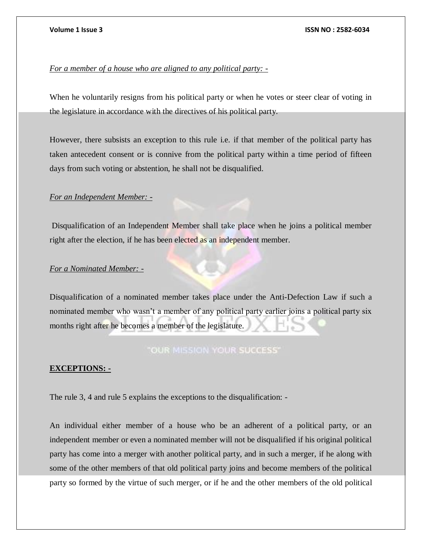# *For a member of a house who are aligned to any political party: -*

When he voluntarily resigns from his political party or when he votes or steer clear of voting in the legislature in accordance with the directives of his political party.

However, there subsists an exception to this rule i.e. if that member of the political party has taken antecedent consent or is connive from the political party within a time period of fifteen days from such voting or abstention, he shall not be disqualified.

# *For an Independent Member: -*

Disqualification of an Independent Member shall take place when he joins a political member right after the election, if he has been elected as an independent member.

# *For a Nominated Member: -*

Disqualification of a nominated member takes place under the Anti-Defection Law if such a nominated member who wasn't a member of any political party earlier joins a political party six months right after he becomes a member of the legislature.

# "OUR MISSION YOUR SUCCESS"

# **EXCEPTIONS: -**

The rule 3, 4 and rule 5 explains the exceptions to the disqualification: -

An individual either member of a house who be an adherent of a political party, or an independent member or even a nominated member will not be disqualified if his original political party has come into a merger with another political party, and in such a merger, if he along with some of the other members of that old political party joins and become members of the political party so formed by the virtue of such merger, or if he and the other members of the old political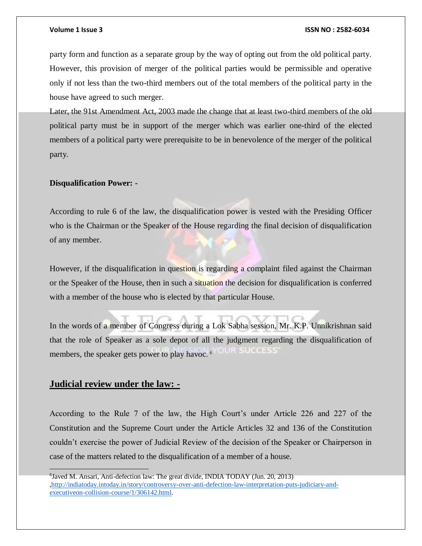party form and function as a separate group by the way of opting out from the old political party. However, this provision of merger of the political parties would be permissible and operative only if not less than the two-third members out of the total members of the political party in the house have agreed to such merger.

Later, the 91st Amendment Act, 2003 made the change that at least two-third members of the old political party must be in support of the merger which was earlier one-third of the elected members of a political party were prerequisite to be in benevolence of the merger of the political party.

## **Disqualification Power: -**

According to rule 6 of the law, the disqualification power is vested with the Presiding Officer who is the Chairman or the Speaker of the House regarding the final decision of disqualification of any member.

However, if the disqualification in question is regarding a complaint filed against the Chairman or the Speaker of the House, then in such a situation the decision for disqualification is conferred with a member of the house who is elected by that particular House.

In the words of a member of Congress during a Lok Sabha session, Mr. K.P. Unnikrishnan said that the role of Speaker as a sole depot of all the judgment regarding the disqualification of **LIST SEE OF BESSIE** members, the speaker gets power to play havoc. 6

# **Judicial review under the law: -**

According to the Rule 7 of the law, the High Court's under Article 226 and 227 of the Constitution and the Supreme Court under the Article Articles 32 and 136 of the Constitution couldn't exercise the power of Judicial Review of the decision of the Speaker or Chairperson in case of the matters related to the disqualification of a member of a house.

<sup>6</sup> Javed M. Ansari, Anti-defection law: The great divide, INDIA TODAY (Jun. 20, 2013) [,http://indiatoday.intoday.in/story/controversy-over-anti-defection-law-interpretation-puts-judiciary-and](http://indiatoday.intoday.in/story/controversy-over-anti-defection-law-interpretation-puts-judiciary-and-executiveon-collision-course/1/306142.html)[executiveon-collision-course/1/306142.html.](http://indiatoday.intoday.in/story/controversy-over-anti-defection-law-interpretation-puts-judiciary-and-executiveon-collision-course/1/306142.html)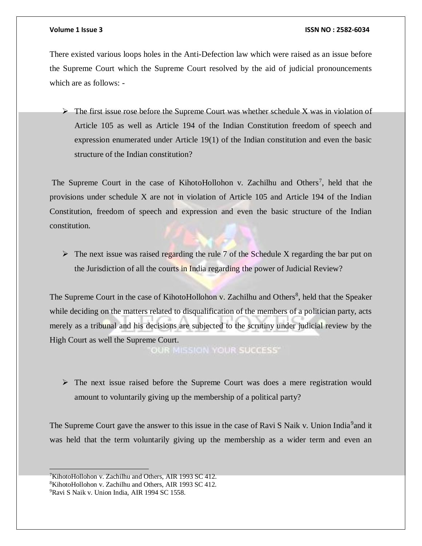There existed various loops holes in the Anti-Defection law which were raised as an issue before the Supreme Court which the Supreme Court resolved by the aid of judicial pronouncements which are as follows: -

 $\triangleright$  The first issue rose before the Supreme Court was whether schedule X was in violation of Article 105 as well as Article 194 of the Indian Constitution freedom of speech and expression enumerated under Article 19(1) of the Indian constitution and even the basic structure of the Indian constitution?

The Supreme Court in the case of KihotoHollohon v. Zachilhu and Others<sup>7</sup>, held that the provisions under schedule X are not in violation of Article 105 and Article 194 of the Indian Constitution, freedom of speech and expression and even the basic structure of the Indian constitution.

 $\triangleright$  The next issue was raised regarding the rule 7 of the Schedule X regarding the bar put on the Jurisdiction of all the courts in India regarding the power of Judicial Review?

The Supreme Court in the case of KihotoHollohon v. Zachilhu and Others<sup>8</sup>, held that the Speaker while deciding on the matters related to disqualification of the members of a politician party, acts merely as a tribunal and his decisions are subjected to the scrutiny under judicial review by the High Court as well the Supreme Court.

OUR MISSION YOUR SUCCESS"

 $\triangleright$  The next issue raised before the Supreme Court was does a mere registration would amount to voluntarily giving up the membership of a political party?

The Supreme Court gave the answer to this issue in the case of Ravi S Naik v. Union India<sup>9</sup> and it was held that the term voluntarily giving up the membership as a wider term and even an

<sup>&</sup>lt;sup>7</sup>KihotoHollohon v. Zachilhu and Others, AIR 1993 SC 412.

<sup>8</sup>KihotoHollohon v. Zachilhu and Others, AIR 1993 SC 412.

<sup>9</sup>Ravi S Naik v. Union India, AIR 1994 SC 1558.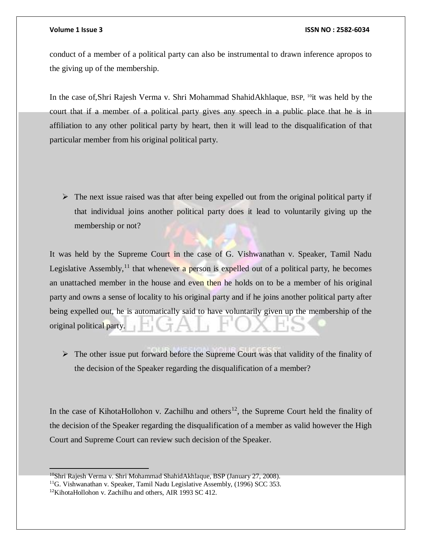conduct of a member of a political party can also be instrumental to drawn inference apropos to the giving up of the membership.

In the case of,Shri Rajesh Verma v. Shri Mohammad ShahidAkhlaque, BSP, <sup>10</sup>it was held by the court that if a member of a political party gives any speech in a public place that he is in affiliation to any other political party by heart, then it will lead to the disqualification of that particular member from his original political party.

 $\triangleright$  The next issue raised was that after being expelled out from the original political party if that individual joins another political party does it lead to voluntarily giving up the membership or not?

It was held by the Supreme Court in the case of G. Vishwanathan v. Speaker, Tamil Nadu Legislative Assembly,<sup>11</sup> that whenever a person is expelled out of a political party, he becomes an unattached member in the house and even then he holds on to be a member of his original party and owns a sense of locality to his original party and if he joins another political party after being expelled out, he is automatically said to have voluntarily given up the membership of the original political party.

 $\triangleright$  The other issue put forward before the Supreme Court was that validity of the finality of the decision of the Speaker regarding the disqualification of a member?

In the case of KihotaHollohon v. Zachilhu and others<sup>12</sup>, the Supreme Court held the finality of the decision of the Speaker regarding the disqualification of a member as valid however the High Court and Supreme Court can review such decision of the Speaker.

<sup>10</sup>Shri Rajesh Verma v. Shri Mohammad ShahidAkhlaque, BSP (January 27, 2008).

<sup>&</sup>lt;sup>11</sup>G. Vishwanathan v. Speaker, Tamil Nadu Legislative Assembly, (1996) SCC 353.

<sup>12</sup>KihotaHollohon v. Zachilhu and others, AIR 1993 SC 412.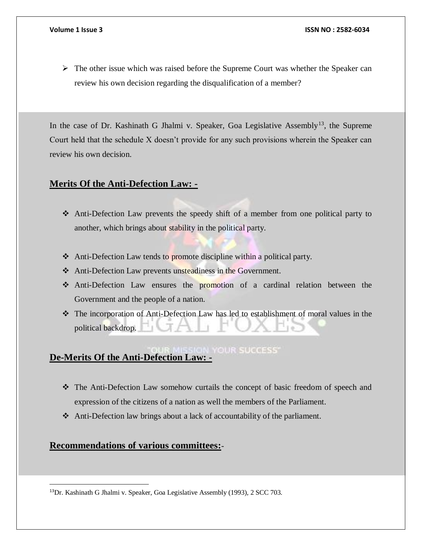$\triangleright$  The other issue which was raised before the Supreme Court was whether the Speaker can review his own decision regarding the disqualification of a member?

In the case of Dr. Kashinath G Jhalmi v. Speaker, Goa Legislative Assembly<sup>13</sup>, the Supreme Court held that the schedule X doesn't provide for any such provisions wherein the Speaker can review his own decision.

# **Merits Of the Anti-Defection Law: -**

- Anti-Defection Law prevents the speedy shift of a member from one political party to another, which brings about stability in the political party.
- ◆ Anti-Defection Law tends to promote discipline within a political party.
- Anti-Defection Law prevents unsteadiness in the Government.
- Anti-Defection Law ensures the promotion of a cardinal relation between the Government and the people of a nation.
- The incorporation of Anti-Defection Law has led to establishment of moral values in the political backdrop.

# **De-Merits Of the Anti-Defection Law: -**

- The Anti-Defection Law somehow curtails the concept of basic freedom of speech and expression of the citizens of a nation as well the members of the Parliament.
- Anti-Defection law brings about a lack of accountability of the parliament.

# **Recommendations of various committees:**-

 $\overline{a}$ 

<sup>13</sup>Dr. Kashinath G Jhalmi v. Speaker, Goa Legislative Assembly (1993), 2 SCC 703.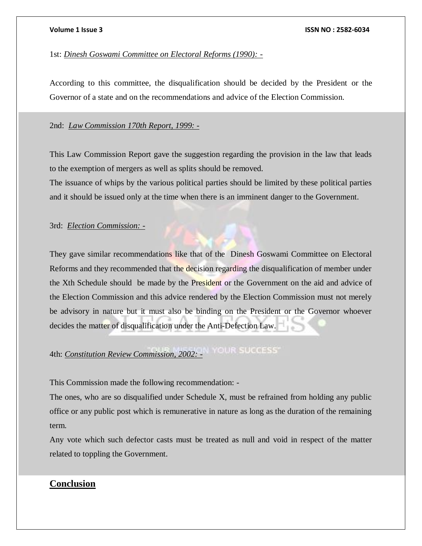1st: *Dinesh Goswami Committee on Electoral Reforms (1990): -*

According to this committee, the disqualification should be decided by the President or the Governor of a state and on the recommendations and advice of the Election Commission.

## 2nd: *Law Commission 170th Report, 1999: -*

This Law Commission Report gave the suggestion regarding the provision in the law that leads to the exemption of mergers as well as splits should be removed.

The issuance of whips by the various political parties should be limited by these political parties and it should be issued only at the time when there is an imminent danger to the Government.

# 3rd: *Election Commission: -*

They gave similar recommendations like that of the Dinesh Goswami Committee on Electoral Reforms and they recommended that the decision regarding the disqualification of member under the Xth Schedule should be made by the President or the Government on the aid and advice of the Election Commission and this advice rendered by the Election Commission must not merely be advisory in nature but it must also be binding on the President or the Governor whoever decides the matter of disqualification under the Anti-Defection Law.

# 4th: *Constitution Review Commission, 2002: -*

This Commission made the following recommendation: -

The ones, who are so disqualified under Schedule X, must be refrained from holding any public office or any public post which is remunerative in nature as long as the duration of the remaining term.

Any vote which such defector casts must be treated as null and void in respect of the matter related to toppling the Government.

# **Conclusion**